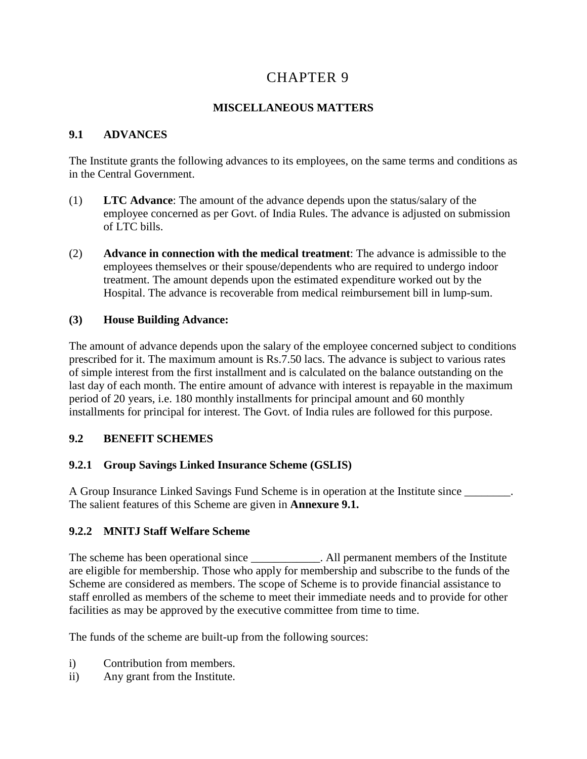# 9 CHAPTER 9

# **MISCELLANEOUS MATTERS**

## **9.1 ADVANCES**

The Institute grants the following advances to its employees, on the same terms and conditions as in the Central Government.

- (1) **LTC Advance**: The amount of the advance depends upon the status/salary of the employee concerned as per Govt. of India Rules. The advance is adjusted on submission of LTC bills.
- (2) **Advance in connection with the medical treatment**: The advance is admissible to the employees themselves or their spouse/dependents who are required to undergo indoor treatment. The amount depends upon the estimated expenditure worked out by the Hospital. The advance is recoverable from medical reimbursement bill in lump-sum.

## **(3) House Building Advance:**

The amount of advance depends upon the salary of the employee concerned subject to conditions prescribed for it. The maximum amount is Rs.7.50 lacs. The advance is subject to various rates of simple interest from the first installment and is calculated on the balance outstanding on the last day of each month. The entire amount of advance with interest is repayable in the maximum period of 20 years, i.e. 180 monthly installments for principal amount and 60 monthly installments for principal for interest. The Govt. of India rules are followed for this purpose.

# **9.2 BENEFIT SCHEMES**

## **9.2.1 Group Savings Linked Insurance Scheme (GSLIS)**

A Group Insurance Linked Savings Fund Scheme is in operation at the Institute since \_\_\_\_\_\_\_. The salient features of this Scheme are given in **Annexure 9.1.**

# **9.2.2 MNITJ Staff Welfare Scheme**

The scheme has been operational since \_\_\_\_\_\_\_\_\_\_\_\_. All permanent members of the Institute are eligible for membership. Those who apply for membership and subscribe to the funds of the Scheme are considered as members. The scope of Scheme is to provide financial assistance to staff enrolled as members of the scheme to meet their immediate needs and to provide for other facilities as may be approved by the executive committee from time to time.

The funds of the scheme are built-up from the following sources:

- i) Contribution from members.
- ii) Any grant from the Institute.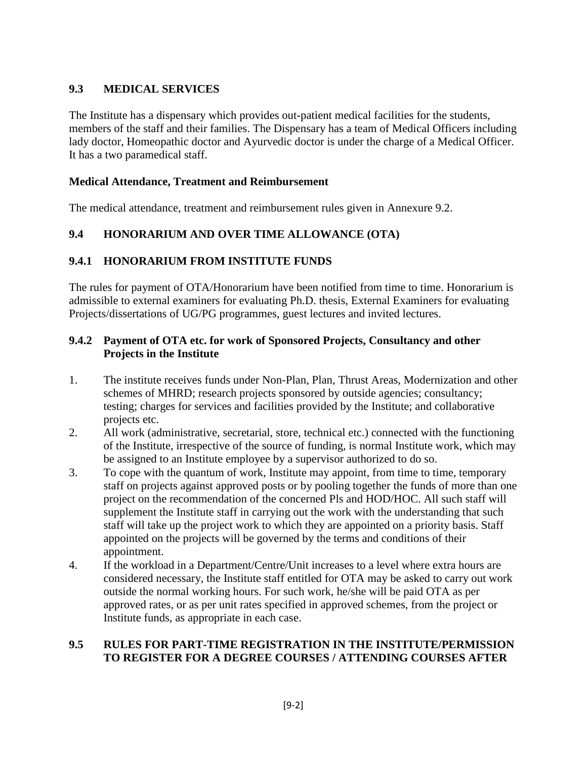# **9.3 MEDICAL SERVICES**

The Institute has a dispensary which provides out-patient medical facilities for the students, members of the staff and their families. The Dispensary has a team of Medical Officers including lady doctor, Homeopathic doctor and Ayurvedic doctor is under the charge of a Medical Officer. It has a two paramedical staff.

### **Medical Attendance, Treatment and Reimbursement**

The medical attendance, treatment and reimbursement rules given in Annexure 9.2.

## **9.4 HONORARIUM AND OVER TIME ALLOWANCE (OTA)**

## **9.4.1 HONORARIUM FROM INSTITUTE FUNDS**

The rules for payment of OTA/Honorarium have been notified from time to time. Honorarium is admissible to external examiners for evaluating Ph.D. thesis, External Examiners for evaluating Projects/dissertations of UG/PG programmes, guest lectures and invited lectures.

### **9.4.2 Payment of OTA etc. for work of Sponsored Projects, Consultancy and other Projects in the Institute**

- 1. The institute receives funds under Non-Plan, Plan, Thrust Areas, Modernization and other schemes of MHRD; research projects sponsored by outside agencies; consultancy; testing; charges for services and facilities provided by the Institute; and collaborative projects etc.
- 2. All work (administrative, secretarial, store, technical etc.) connected with the functioning of the Institute, irrespective of the source of funding, is normal Institute work, which may be assigned to an Institute employee by a supervisor authorized to do so.
- 3. To cope with the quantum of work, Institute may appoint, from time to time, temporary staff on projects against approved posts or by pooling together the funds of more than one project on the recommendation of the concerned Pls and HOD/HOC. All such staff will supplement the Institute staff in carrying out the work with the understanding that such staff will take up the project work to which they are appointed on a priority basis. Staff appointed on the projects will be governed by the terms and conditions of their appointment.
- 4. If the workload in a Department/Centre/Unit increases to a level where extra hours are considered necessary, the Institute staff entitled for OTA may be asked to carry out work outside the normal working hours. For such work, he/she will be paid OTA as per approved rates, or as per unit rates specified in approved schemes, from the project or Institute funds, as appropriate in each case.

## **9.5 RULES FOR PART-TIME REGISTRATION IN THE INSTITUTE/PERMISSION TO REGISTER FOR A DEGREE COURSES / ATTENDING COURSES AFTER**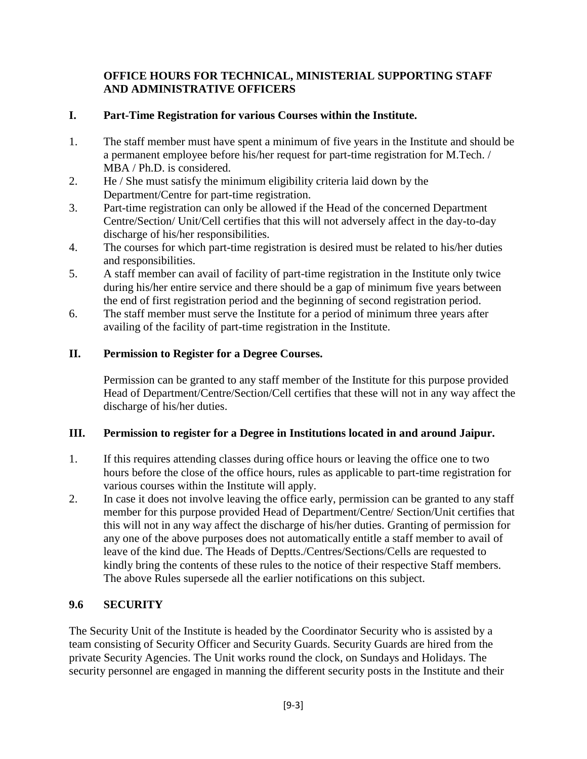## **OFFICE HOURS FOR TECHNICAL, MINISTERIAL SUPPORTING STAFF AND ADMINISTRATIVE OFFICERS**

# **I. Part-Time Registration for various Courses within the Institute.**

- 1. The staff member must have spent a minimum of five years in the Institute and should be a permanent employee before his/her request for part-time registration for M.Tech. / MBA / Ph.D. is considered.
- 2. He / She must satisfy the minimum eligibility criteria laid down by the Department/Centre for part-time registration.
- 3. Part-time registration can only be allowed if the Head of the concerned Department Centre/Section/ Unit/Cell certifies that this will not adversely affect in the day-to-day discharge of his/her responsibilities.
- 4. The courses for which part-time registration is desired must be related to his/her duties and responsibilities.
- 5. A staff member can avail of facility of part-time registration in the Institute only twice during his/her entire service and there should be a gap of minimum five years between the end of first registration period and the beginning of second registration period.
- 6. The staff member must serve the Institute for a period of minimum three years after availing of the facility of part-time registration in the Institute.

## **II. Permission to Register for a Degree Courses.**

Permission can be granted to any staff member of the Institute for this purpose provided Head of Department/Centre/Section/Cell certifies that these will not in any way affect the discharge of his/her duties.

## **III. Permission to register for a Degree in Institutions located in and around Jaipur.**

- 1. If this requires attending classes during office hours or leaving the office one to two hours before the close of the office hours, rules as applicable to part-time registration for various courses within the Institute will apply.
- 2. In case it does not involve leaving the office early, permission can be granted to any staff member for this purpose provided Head of Department/Centre/ Section/Unit certifies that this will not in any way affect the discharge of his/her duties. Granting of permission for any one of the above purposes does not automatically entitle a staff member to avail of leave of the kind due. The Heads of Deptts./Centres/Sections/Cells are requested to kindly bring the contents of these rules to the notice of their respective Staff members. The above Rules supersede all the earlier notifications on this subject.

## **9.6 SECURITY**

The Security Unit of the Institute is headed by the Coordinator Security who is assisted by a team consisting of Security Officer and Security Guards. Security Guards are hired from the private Security Agencies. The Unit works round the clock, on Sundays and Holidays. The security personnel are engaged in manning the different security posts in the Institute and their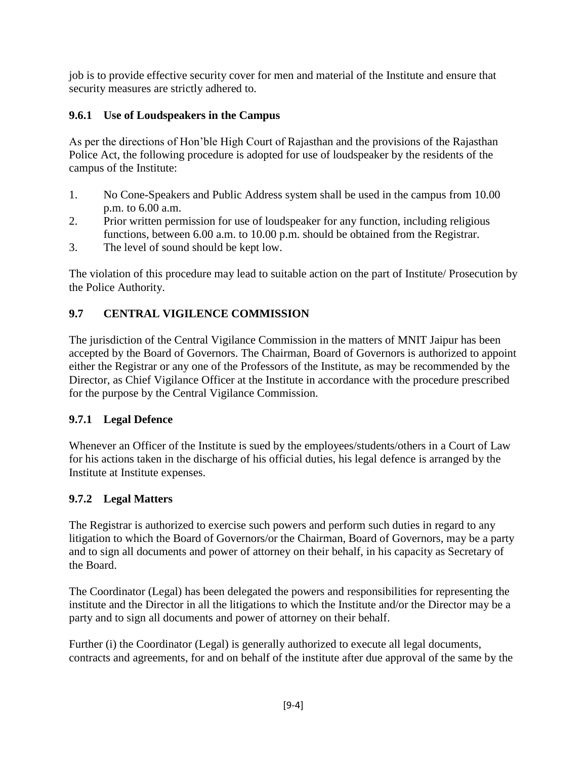job is to provide effective security cover for men and material of the Institute and ensure that security measures are strictly adhered to.

# **9.6.1 Use of Loudspeakers in the Campus**

As per the directions of Hon'ble High Court of Rajasthan and the provisions of the Rajasthan Police Act, the following procedure is adopted for use of loudspeaker by the residents of the campus of the Institute:

- 1. No Cone-Speakers and Public Address system shall be used in the campus from 10.00 p.m. to 6.00 a.m.
- 2. Prior written permission for use of loudspeaker for any function, including religious functions, between 6.00 a.m. to 10.00 p.m. should be obtained from the Registrar.
- 3. The level of sound should be kept low.

The violation of this procedure may lead to suitable action on the part of Institute/ Prosecution by the Police Authority.

# **9.7 CENTRAL VIGILENCE COMMISSION**

The jurisdiction of the Central Vigilance Commission in the matters of MNIT Jaipur has been accepted by the Board of Governors. The Chairman, Board of Governors is authorized to appoint either the Registrar or any one of the Professors of the Institute, as may be recommended by the Director, as Chief Vigilance Officer at the Institute in accordance with the procedure prescribed for the purpose by the Central Vigilance Commission.

# **9.7.1 Legal Defence**

Whenever an Officer of the Institute is sued by the employees/students/others in a Court of Law for his actions taken in the discharge of his official duties, his legal defence is arranged by the Institute at Institute expenses.

# **9.7.2 Legal Matters**

The Registrar is authorized to exercise such powers and perform such duties in regard to any litigation to which the Board of Governors/or the Chairman, Board of Governors, may be a party and to sign all documents and power of attorney on their behalf, in his capacity as Secretary of the Board.

The Coordinator (Legal) has been delegated the powers and responsibilities for representing the institute and the Director in all the litigations to which the Institute and/or the Director may be a party and to sign all documents and power of attorney on their behalf.

Further (i) the Coordinator (Legal) is generally authorized to execute all legal documents, contracts and agreements, for and on behalf of the institute after due approval of the same by the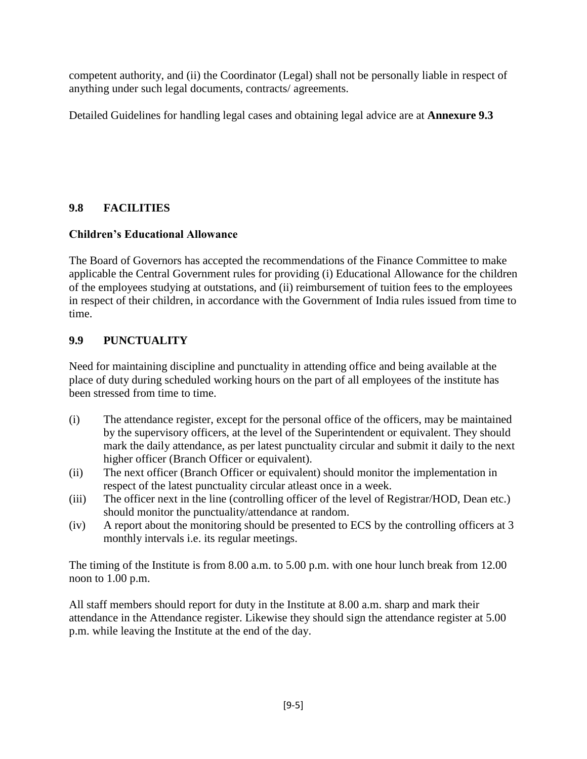competent authority, and (ii) the Coordinator (Legal) shall not be personally liable in respect of anything under such legal documents, contracts/ agreements.

Detailed Guidelines for handling legal cases and obtaining legal advice are at **Annexure 9.3**

# **9.8 FACILITIES**

# **Children's Educational Allowance**

The Board of Governors has accepted the recommendations of the Finance Committee to make applicable the Central Government rules for providing (i) Educational Allowance for the children of the employees studying at outstations, and (ii) reimbursement of tuition fees to the employees in respect of their children, in accordance with the Government of India rules issued from time to time.

# **9.9 PUNCTUALITY**

Need for maintaining discipline and punctuality in attending office and being available at the place of duty during scheduled working hours on the part of all employees of the institute has been stressed from time to time.

- (i) The attendance register, except for the personal office of the officers, may be maintained by the supervisory officers, at the level of the Superintendent or equivalent. They should mark the daily attendance, as per latest punctuality circular and submit it daily to the next higher officer (Branch Officer or equivalent).
- (ii) The next officer (Branch Officer or equivalent) should monitor the implementation in respect of the latest punctuality circular atleast once in a week.
- (iii) The officer next in the line (controlling officer of the level of Registrar/HOD, Dean etc.) should monitor the punctuality/attendance at random.
- (iv) A report about the monitoring should be presented to ECS by the controlling officers at 3 monthly intervals i.e. its regular meetings.

The timing of the Institute is from 8.00 a.m. to 5.00 p.m. with one hour lunch break from 12.00 noon to 1.00 p.m.

All staff members should report for duty in the Institute at 8.00 a.m. sharp and mark their attendance in the Attendance register. Likewise they should sign the attendance register at 5.00 p.m. while leaving the Institute at the end of the day.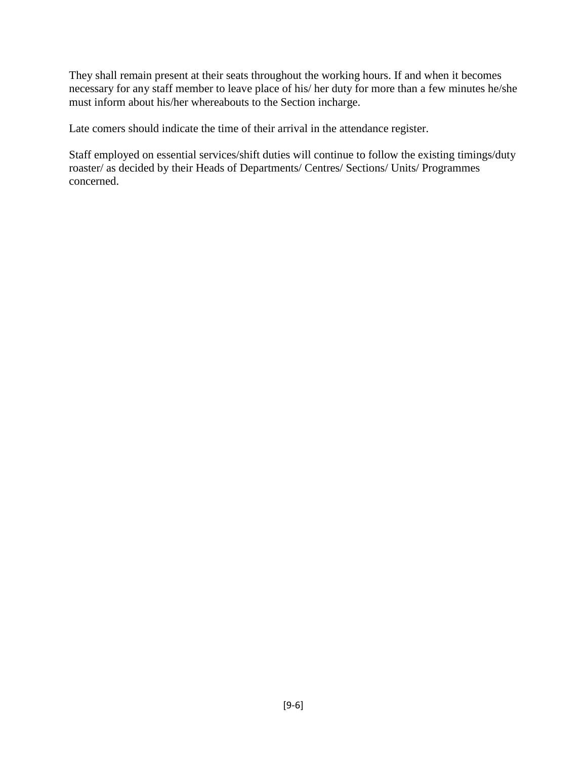They shall remain present at their seats throughout the working hours. If and when it becomes necessary for any staff member to leave place of his/ her duty for more than a few minutes he/she must inform about his/her whereabouts to the Section incharge.

Late comers should indicate the time of their arrival in the attendance register.

Staff employed on essential services/shift duties will continue to follow the existing timings/duty roaster/ as decided by their Heads of Departments/ Centres/ Sections/ Units/ Programmes concerned.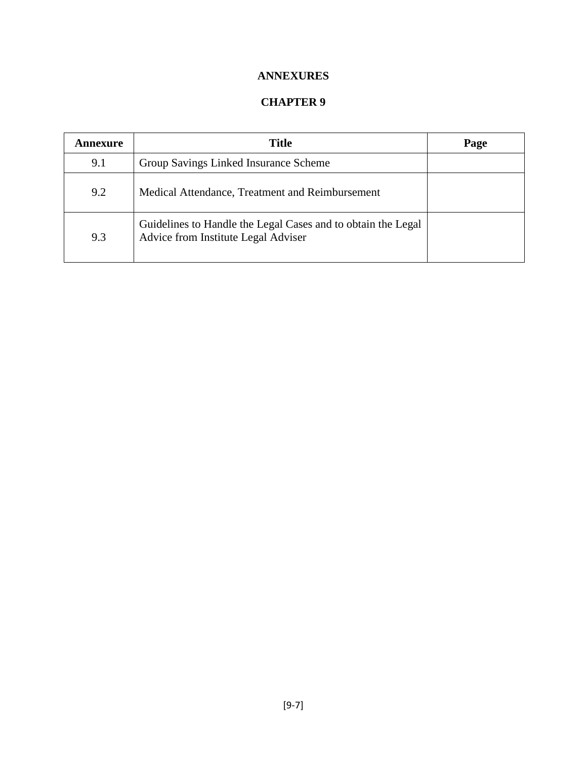# **ANNEXURES**

# **CHAPTER 9**

| Annexure | <b>Title</b>                                                                                        | Page |
|----------|-----------------------------------------------------------------------------------------------------|------|
| 9.1      | Group Savings Linked Insurance Scheme                                                               |      |
| 9.2      | Medical Attendance, Treatment and Reimbursement                                                     |      |
| 9.3      | Guidelines to Handle the Legal Cases and to obtain the Legal<br>Advice from Institute Legal Adviser |      |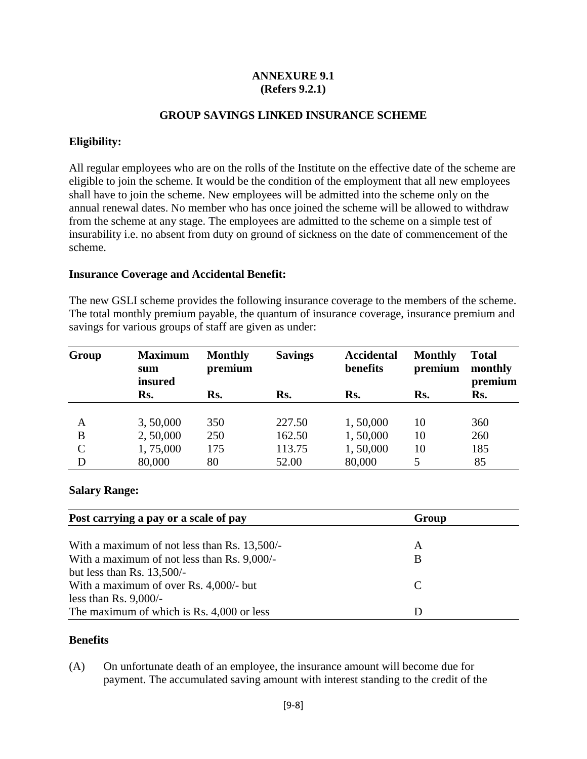#### **ANNEXURE 9.1 (Refers 9.2.1)**

#### **GROUP SAVINGS LINKED INSURANCE SCHEME**

## **Eligibility:**

All regular employees who are on the rolls of the Institute on the effective date of the scheme are eligible to join the scheme. It would be the condition of the employment that all new employees shall have to join the scheme. New employees will be admitted into the scheme only on the annual renewal dates. No member who has once joined the scheme will be allowed to withdraw from the scheme at any stage. The employees are admitted to the scheme on a simple test of insurability i.e. no absent from duty on ground of sickness on the date of commencement of the scheme.

#### **Insurance Coverage and Accidental Benefit:**

The new GSLI scheme provides the following insurance coverage to the members of the scheme. The total monthly premium payable, the quantum of insurance coverage, insurance premium and savings for various groups of staff are given as under:

| Group         | <b>Maximum</b><br>sum<br>insured | <b>Monthly</b><br>premium | <b>Savings</b> | <b>Accidental</b><br>benefits | <b>Monthly</b><br>premium | <b>Total</b><br>monthly<br>premium |
|---------------|----------------------------------|---------------------------|----------------|-------------------------------|---------------------------|------------------------------------|
|               | Rs.                              | Rs.                       | Rs.            | Rs.                           | Rs.                       | Rs.                                |
| A             | 3,50,000                         | 350                       | 227.50         | 1,50,000                      | 10                        | 360                                |
| B             | 2,50,000                         | 250                       | 162.50         | 1,50,000                      | 10                        | 260                                |
| $\mathcal{C}$ | 1,75,000                         | 175                       | 113.75         | 1,50,000                      | 10                        | 185                                |
| D             | 80,000                           | 80                        | 52.00          | 80,000                        | 5                         | 85                                 |

#### **Salary Range:**

| Post carrying a pay or a scale of pay        | Group                       |
|----------------------------------------------|-----------------------------|
|                                              |                             |
| With a maximum of not less than Rs. 13,500/- | A                           |
| With a maximum of not less than Rs. 9,000/-  | B                           |
| but less than Rs. $13,500/-$                 |                             |
| With a maximum of over Rs. 4,000/- but       | $\mathcal{C}_{\mathcal{C}}$ |
| less than Rs. $9,000/-$                      |                             |
| The maximum of which is Rs. 4,000 or less    |                             |

## **Benefits**

(A) On unfortunate death of an employee, the insurance amount will become due for payment. The accumulated saving amount with interest standing to the credit of the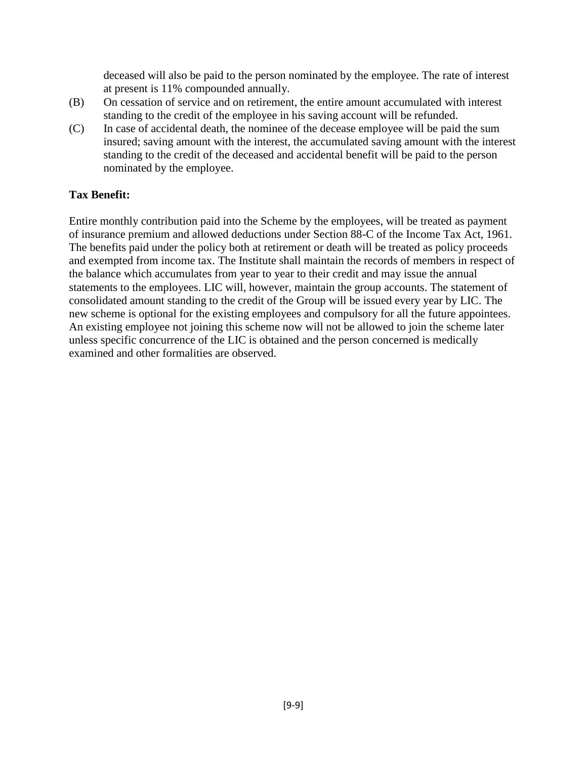deceased will also be paid to the person nominated by the employee. The rate of interest at present is 11% compounded annually.

- (B) On cessation of service and on retirement, the entire amount accumulated with interest standing to the credit of the employee in his saving account will be refunded.
- (C) In case of accidental death, the nominee of the decease employee will be paid the sum insured; saving amount with the interest, the accumulated saving amount with the interest standing to the credit of the deceased and accidental benefit will be paid to the person nominated by the employee.

## **Tax Benefit:**

Entire monthly contribution paid into the Scheme by the employees, will be treated as payment of insurance premium and allowed deductions under Section 88-C of the Income Tax Act, 1961. The benefits paid under the policy both at retirement or death will be treated as policy proceeds and exempted from income tax. The Institute shall maintain the records of members in respect of the balance which accumulates from year to year to their credit and may issue the annual statements to the employees. LIC will, however, maintain the group accounts. The statement of consolidated amount standing to the credit of the Group will be issued every year by LIC. The new scheme is optional for the existing employees and compulsory for all the future appointees. An existing employee not joining this scheme now will not be allowed to join the scheme later unless specific concurrence of the LIC is obtained and the person concerned is medically examined and other formalities are observed.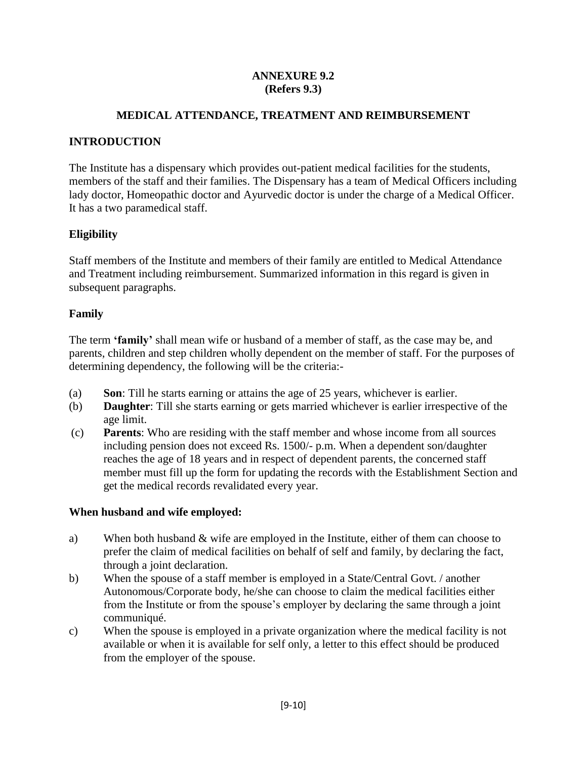### **ANNEXURE 9.2 (Refers 9.3)**

### **MEDICAL ATTENDANCE, TREATMENT AND REIMBURSEMENT**

### **INTRODUCTION**

The Institute has a dispensary which provides out-patient medical facilities for the students, members of the staff and their families. The Dispensary has a team of Medical Officers including lady doctor, Homeopathic doctor and Ayurvedic doctor is under the charge of a Medical Officer. It has a two paramedical staff.

## **Eligibility**

Staff members of the Institute and members of their family are entitled to Medical Attendance and Treatment including reimbursement. Summarized information in this regard is given in subsequent paragraphs.

#### **Family**

The term **'family'** shall mean wife or husband of a member of staff, as the case may be, and parents, children and step children wholly dependent on the member of staff. For the purposes of determining dependency, the following will be the criteria:-

- (a) **Son**: Till he starts earning or attains the age of 25 years, whichever is earlier.
- (b) **Daughter**: Till she starts earning or gets married whichever is earlier irrespective of the age limit.
- (c) **Parents**: Who are residing with the staff member and whose income from all sources including pension does not exceed Rs. 1500/- p.m. When a dependent son/daughter reaches the age of 18 years and in respect of dependent parents, the concerned staff member must fill up the form for updating the records with the Establishment Section and get the medical records revalidated every year.

#### **When husband and wife employed:**

- a) When both husband & wife are employed in the Institute, either of them can choose to prefer the claim of medical facilities on behalf of self and family, by declaring the fact, through a joint declaration.
- b) When the spouse of a staff member is employed in a State/Central Govt. / another Autonomous/Corporate body, he/she can choose to claim the medical facilities either from the Institute or from the spouse's employer by declaring the same through a joint communiqué.
- c) When the spouse is employed in a private organization where the medical facility is not available or when it is available for self only, a letter to this effect should be produced from the employer of the spouse.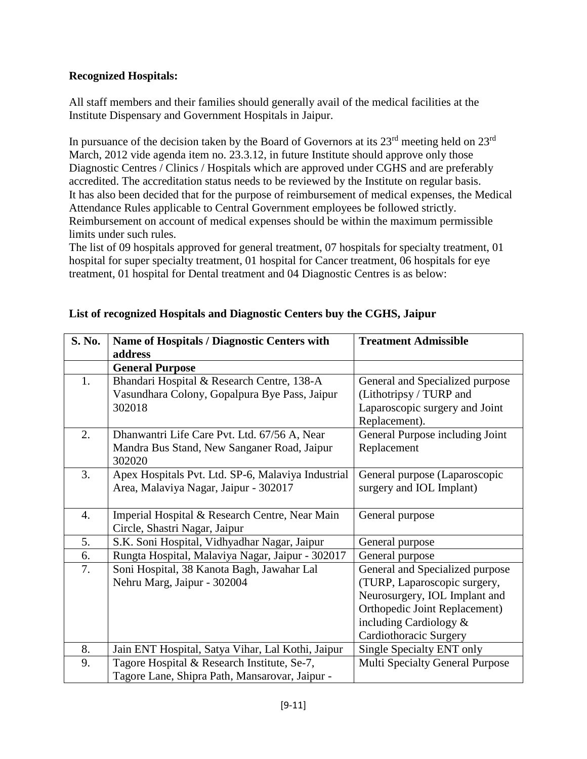## **Recognized Hospitals:**

All staff members and their families should generally avail of the medical facilities at the Institute Dispensary and Government Hospitals in Jaipur.

In pursuance of the decision taken by the Board of Governors at its  $23<sup>rd</sup>$  meeting held on  $23<sup>rd</sup>$ March, 2012 vide agenda item no. 23.3.12, in future Institute should approve only those Diagnostic Centres / Clinics / Hospitals which are approved under CGHS and are preferably accredited. The accreditation status needs to be reviewed by the Institute on regular basis. It has also been decided that for the purpose of reimbursement of medical expenses, the Medical Attendance Rules applicable to Central Government employees be followed strictly. Reimbursement on account of medical expenses should be within the maximum permissible limits under such rules.

The list of 09 hospitals approved for general treatment, 07 hospitals for specialty treatment, 01 hospital for super specialty treatment, 01 hospital for Cancer treatment, 06 hospitals for eye treatment, 01 hospital for Dental treatment and 04 Diagnostic Centres is as below:

| S. No. | <b>Name of Hospitals / Diagnostic Centers with</b> | <b>Treatment Admissible</b>            |
|--------|----------------------------------------------------|----------------------------------------|
|        | address                                            |                                        |
|        | <b>General Purpose</b>                             |                                        |
| 1.     | Bhandari Hospital & Research Centre, 138-A         | General and Specialized purpose        |
|        | Vasundhara Colony, Gopalpura Bye Pass, Jaipur      | (Lithotripsy / TURP and                |
|        | 302018                                             | Laparoscopic surgery and Joint         |
|        |                                                    | Replacement).                          |
| 2.     | Dhanwantri Life Care Pvt. Ltd. 67/56 A, Near       | General Purpose including Joint        |
|        | Mandra Bus Stand, New Sanganer Road, Jaipur        | Replacement                            |
|        | 302020                                             |                                        |
| 3.     | Apex Hospitals Pvt. Ltd. SP-6, Malaviya Industrial | General purpose (Laparoscopic          |
|        | Area, Malaviya Nagar, Jaipur - 302017              | surgery and IOL Implant)               |
|        |                                                    |                                        |
| 4.     | Imperial Hospital & Research Centre, Near Main     | General purpose                        |
|        | Circle, Shastri Nagar, Jaipur                      |                                        |
| 5.     | S.K. Soni Hospital, Vidhyadhar Nagar, Jaipur       | General purpose                        |
| 6.     | Rungta Hospital, Malaviya Nagar, Jaipur - 302017   | General purpose                        |
| 7.     | Soni Hospital, 38 Kanota Bagh, Jawahar Lal         | General and Specialized purpose        |
|        | Nehru Marg, Jaipur - 302004                        | (TURP, Laparoscopic surgery,           |
|        |                                                    | Neurosurgery, IOL Implant and          |
|        |                                                    | Orthopedic Joint Replacement)          |
|        |                                                    | including Cardiology &                 |
|        |                                                    | Cardiothoracic Surgery                 |
| 8.     | Jain ENT Hospital, Satya Vihar, Lal Kothi, Jaipur  | Single Specialty ENT only              |
| 9.     | Tagore Hospital & Research Institute, Se-7,        | <b>Multi Specialty General Purpose</b> |
|        | Tagore Lane, Shipra Path, Mansarovar, Jaipur -     |                                        |

## **List of recognized Hospitals and Diagnostic Centers buy the CGHS, Jaipur**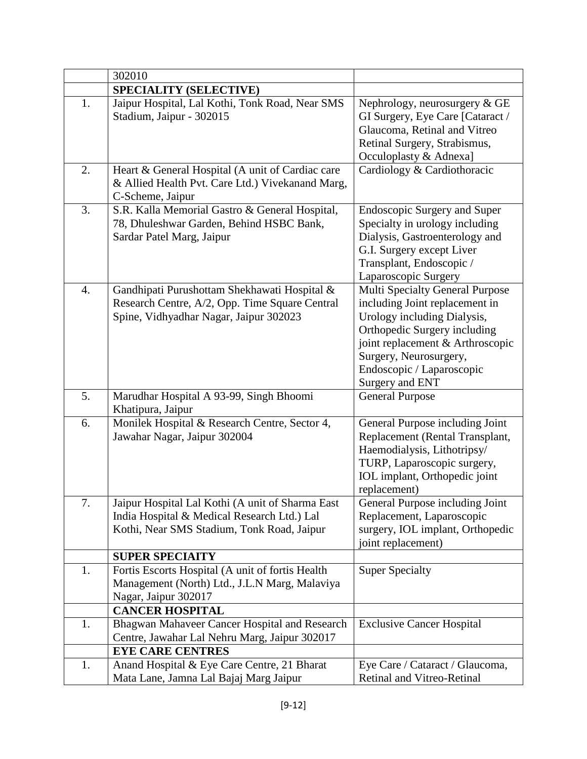|                  | 302010                                                                                                                                              |                                                                                                                                                                                                                                                |
|------------------|-----------------------------------------------------------------------------------------------------------------------------------------------------|------------------------------------------------------------------------------------------------------------------------------------------------------------------------------------------------------------------------------------------------|
|                  | <b>SPECIALITY (SELECTIVE)</b>                                                                                                                       |                                                                                                                                                                                                                                                |
| 1.               | Jaipur Hospital, Lal Kothi, Tonk Road, Near SMS<br>Stadium, Jaipur - 302015                                                                         | Nephrology, neurosurgery & GE<br>GI Surgery, Eye Care [Cataract /<br>Glaucoma, Retinal and Vitreo<br>Retinal Surgery, Strabismus,<br>Occuloplasty & Adnexa]                                                                                    |
| 2.               | Heart & General Hospital (A unit of Cardiac care<br>& Allied Health Pvt. Care Ltd.) Vivekanand Marg,<br>C-Scheme, Jaipur                            | Cardiology & Cardiothoracic                                                                                                                                                                                                                    |
| 3.               | S.R. Kalla Memorial Gastro & General Hospital,<br>78, Dhuleshwar Garden, Behind HSBC Bank,<br>Sardar Patel Marg, Jaipur                             | <b>Endoscopic Surgery and Super</b><br>Specialty in urology including<br>Dialysis, Gastroenterology and<br>G.I. Surgery except Liver<br>Transplant, Endoscopic /<br>Laparoscopic Surgery                                                       |
| $\overline{4}$ . | Gandhipati Purushottam Shekhawati Hospital &<br>Research Centre, A/2, Opp. Time Square Central<br>Spine, Vidhyadhar Nagar, Jaipur 302023            | Multi Specialty General Purpose<br>including Joint replacement in<br>Urology including Dialysis,<br>Orthopedic Surgery including<br>joint replacement & Arthroscopic<br>Surgery, Neurosurgery,<br>Endoscopic / Laparoscopic<br>Surgery and ENT |
| 5.               | Marudhar Hospital A 93-99, Singh Bhoomi<br>Khatipura, Jaipur                                                                                        | <b>General Purpose</b>                                                                                                                                                                                                                         |
| 6.               | Monilek Hospital & Research Centre, Sector 4,<br>Jawahar Nagar, Jaipur 302004                                                                       | General Purpose including Joint<br>Replacement (Rental Transplant,<br>Haemodialysis, Lithotripsy/<br>TURP, Laparoscopic surgery,<br>IOL implant, Orthopedic joint<br>replacement)                                                              |
| 7.               | Jaipur Hospital Lal Kothi (A unit of Sharma East<br>India Hospital & Medical Research Ltd.) Lal<br>Kothi, Near SMS Stadium, Tonk Road, Jaipur       | General Purpose including Joint<br>Replacement, Laparoscopic<br>surgery, IOL implant, Orthopedic<br>joint replacement)                                                                                                                         |
|                  | <b>SUPER SPECIAITY</b>                                                                                                                              |                                                                                                                                                                                                                                                |
| 1.               | Fortis Escorts Hospital (A unit of fortis Health<br>Management (North) Ltd., J.L.N Marg, Malaviya<br>Nagar, Jaipur 302017<br><b>CANCER HOSPITAL</b> | <b>Super Specialty</b>                                                                                                                                                                                                                         |
| 1.               | Bhagwan Mahaveer Cancer Hospital and Research<br>Centre, Jawahar Lal Nehru Marg, Jaipur 302017<br><b>EYE CARE CENTRES</b>                           | <b>Exclusive Cancer Hospital</b>                                                                                                                                                                                                               |
| 1.               | Anand Hospital & Eye Care Centre, 21 Bharat<br>Mata Lane, Jamna Lal Bajaj Marg Jaipur                                                               | Eye Care / Cataract / Glaucoma,<br>Retinal and Vitreo-Retinal                                                                                                                                                                                  |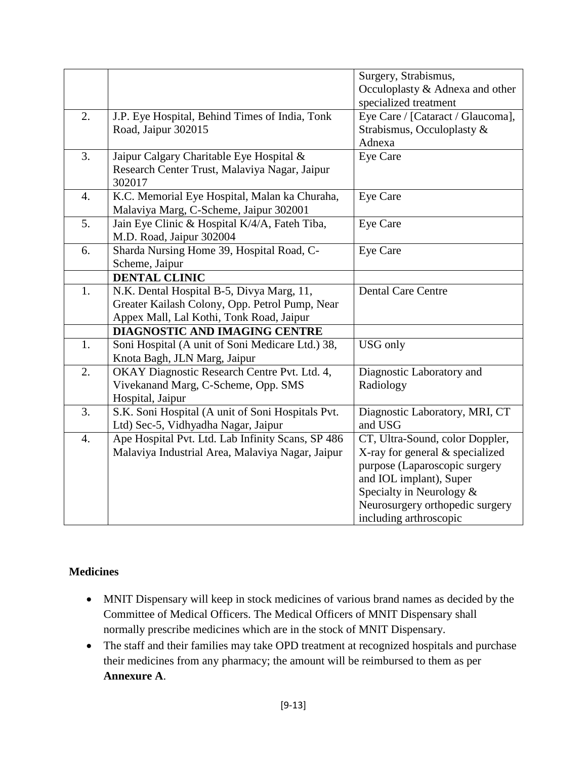|                  |                                                   | Surgery, Strabismus,<br>Occuloplasty & Adnexa and other |
|------------------|---------------------------------------------------|---------------------------------------------------------|
|                  |                                                   | specialized treatment                                   |
| 2.               | J.P. Eye Hospital, Behind Times of India, Tonk    | Eye Care / [Cataract / Glaucoma],                       |
|                  | Road, Jaipur 302015                               | Strabismus, Occuloplasty &                              |
|                  |                                                   | Adnexa                                                  |
| 3.               | Jaipur Calgary Charitable Eye Hospital &          | Eye Care                                                |
|                  | Research Center Trust, Malaviya Nagar, Jaipur     |                                                         |
|                  | 302017                                            |                                                         |
| 4.               | K.C. Memorial Eye Hospital, Malan ka Churaha,     | <b>Eye Care</b>                                         |
|                  | Malaviya Marg, C-Scheme, Jaipur 302001            |                                                         |
| 5.               | Jain Eye Clinic & Hospital K/4/A, Fateh Tiba,     | Eye Care                                                |
|                  | M.D. Road, Jaipur 302004                          |                                                         |
| 6.               | Sharda Nursing Home 39, Hospital Road, C-         | <b>Eye Care</b>                                         |
|                  | Scheme, Jaipur                                    |                                                         |
|                  | <b>DENTAL CLINIC</b>                              |                                                         |
| 1.               | N.K. Dental Hospital B-5, Divya Marg, 11,         | <b>Dental Care Centre</b>                               |
|                  | Greater Kailash Colony, Opp. Petrol Pump, Near    |                                                         |
|                  | Appex Mall, Lal Kothi, Tonk Road, Jaipur          |                                                         |
|                  | <b>DIAGNOSTIC AND IMAGING CENTRE</b>              |                                                         |
| 1.               | Soni Hospital (A unit of Soni Medicare Ltd.) 38,  | USG only                                                |
|                  | Knota Bagh, JLN Marg, Jaipur                      |                                                         |
| 2.               | OKAY Diagnostic Research Centre Pvt. Ltd. 4,      | Diagnostic Laboratory and                               |
|                  | Vivekanand Marg, C-Scheme, Opp. SMS               | Radiology                                               |
|                  | Hospital, Jaipur                                  |                                                         |
| 3.               | S.K. Soni Hospital (A unit of Soni Hospitals Pvt. | Diagnostic Laboratory, MRI, CT                          |
|                  | Ltd) Sec-5, Vidhyadha Nagar, Jaipur               | and USG                                                 |
| $\overline{4}$ . | Ape Hospital Pvt. Ltd. Lab Infinity Scans, SP 486 | CT, Ultra-Sound, color Doppler,                         |
|                  | Malaviya Industrial Area, Malaviya Nagar, Jaipur  | X-ray for general & specialized                         |
|                  |                                                   | purpose (Laparoscopic surgery                           |
|                  |                                                   | and IOL implant), Super                                 |
|                  |                                                   | Specialty in Neurology &                                |
|                  |                                                   | Neurosurgery orthopedic surgery                         |
|                  |                                                   | including arthroscopic                                  |

# **Medicines**

- MNIT Dispensary will keep in stock medicines of various brand names as decided by the Committee of Medical Officers. The Medical Officers of MNIT Dispensary shall normally prescribe medicines which are in the stock of MNIT Dispensary.
- The staff and their families may take OPD treatment at recognized hospitals and purchase their medicines from any pharmacy; the amount will be reimbursed to them as per **Annexure A**.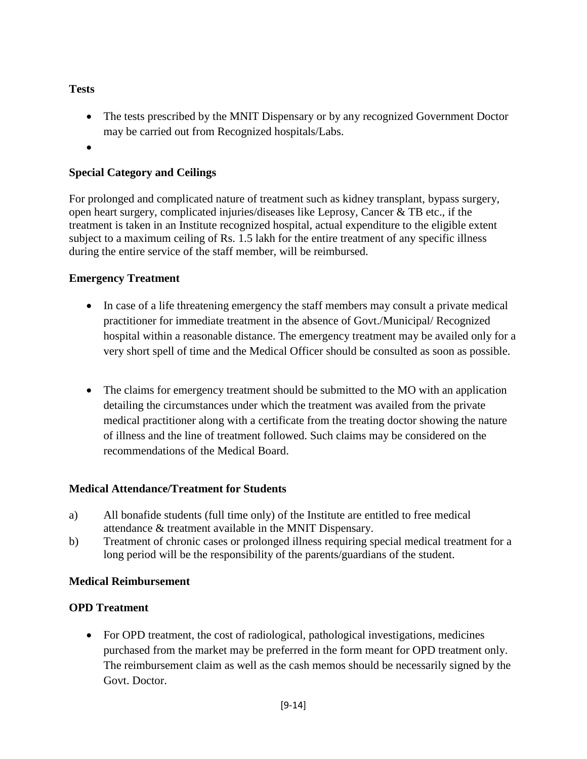## **Tests**

 The tests prescribed by the MNIT Dispensary or by any recognized Government Doctor may be carried out from Recognized hospitals/Labs.

 $\bullet$ 

# **Special Category and Ceilings**

For prolonged and complicated nature of treatment such as kidney transplant, bypass surgery, open heart surgery, complicated injuries/diseases like Leprosy, Cancer & TB etc., if the treatment is taken in an Institute recognized hospital, actual expenditure to the eligible extent subject to a maximum ceiling of Rs. 1.5 lakh for the entire treatment of any specific illness during the entire service of the staff member, will be reimbursed.

#### **Emergency Treatment**

- In case of a life threatening emergency the staff members may consult a private medical practitioner for immediate treatment in the absence of Govt./Municipal/ Recognized hospital within a reasonable distance. The emergency treatment may be availed only for a very short spell of time and the Medical Officer should be consulted as soon as possible.
- The claims for emergency treatment should be submitted to the MO with an application detailing the circumstances under which the treatment was availed from the private medical practitioner along with a certificate from the treating doctor showing the nature of illness and the line of treatment followed. Such claims may be considered on the recommendations of the Medical Board.

## **Medical Attendance/Treatment for Students**

- a) All bonafide students (full time only) of the Institute are entitled to free medical attendance & treatment available in the MNIT Dispensary.
- b) Treatment of chronic cases or prolonged illness requiring special medical treatment for a long period will be the responsibility of the parents/guardians of the student.

#### **Medical Reimbursement**

## **OPD Treatment**

• For OPD treatment, the cost of radiological, pathological investigations, medicines purchased from the market may be preferred in the form meant for OPD treatment only. The reimbursement claim as well as the cash memos should be necessarily signed by the Govt. Doctor.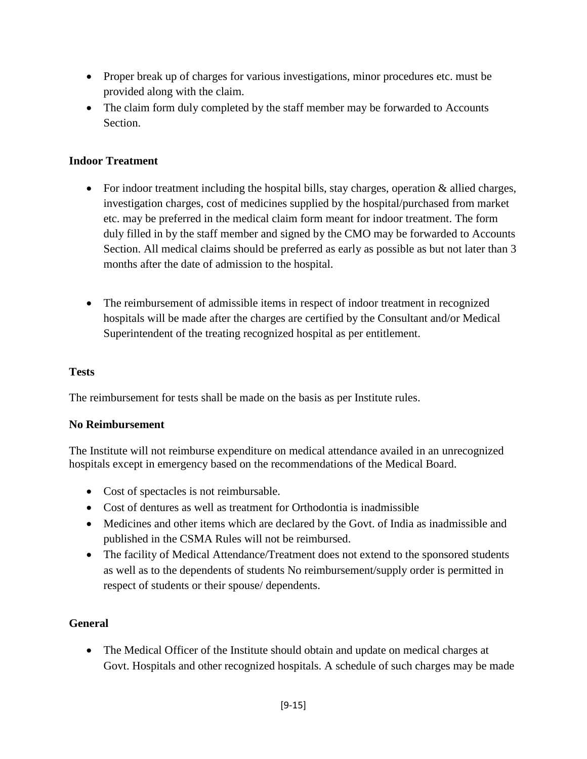- Proper break up of charges for various investigations, minor procedures etc. must be provided along with the claim.
- The claim form duly completed by the staff member may be forwarded to Accounts Section.

# **Indoor Treatment**

- For indoor treatment including the hospital bills, stay charges, operation & allied charges, investigation charges, cost of medicines supplied by the hospital/purchased from market etc. may be preferred in the medical claim form meant for indoor treatment. The form duly filled in by the staff member and signed by the CMO may be forwarded to Accounts Section. All medical claims should be preferred as early as possible as but not later than 3 months after the date of admission to the hospital.
- The reimbursement of admissible items in respect of indoor treatment in recognized hospitals will be made after the charges are certified by the Consultant and/or Medical Superintendent of the treating recognized hospital as per entitlement.

# **Tests**

The reimbursement for tests shall be made on the basis as per Institute rules.

# **No Reimbursement**

The Institute will not reimburse expenditure on medical attendance availed in an unrecognized hospitals except in emergency based on the recommendations of the Medical Board.

- Cost of spectacles is not reimbursable.
- Cost of dentures as well as treatment for Orthodontia is inadmissible
- Medicines and other items which are declared by the Govt. of India as inadmissible and published in the CSMA Rules will not be reimbursed.
- The facility of Medical Attendance/Treatment does not extend to the sponsored students as well as to the dependents of students No reimbursement/supply order is permitted in respect of students or their spouse/ dependents.

# **General**

 The Medical Officer of the Institute should obtain and update on medical charges at Govt. Hospitals and other recognized hospitals. A schedule of such charges may be made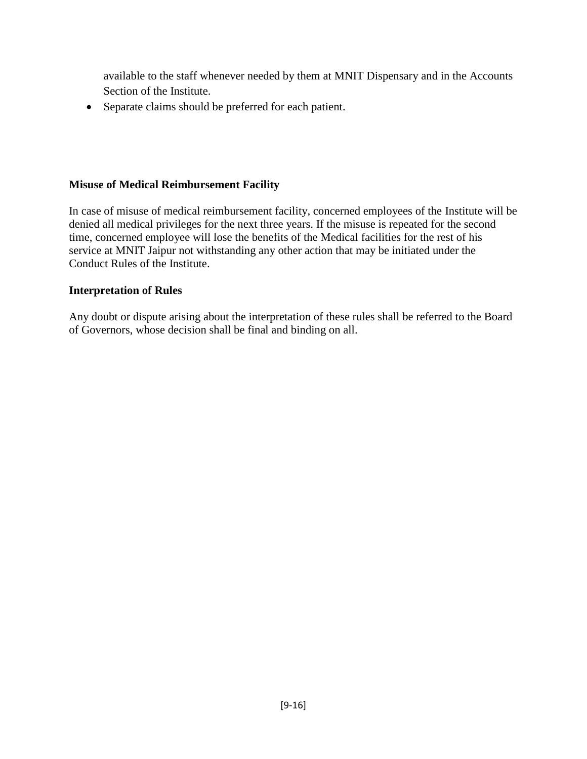available to the staff whenever needed by them at MNIT Dispensary and in the Accounts Section of the Institute.

• Separate claims should be preferred for each patient.

#### **Misuse of Medical Reimbursement Facility**

In case of misuse of medical reimbursement facility, concerned employees of the Institute will be denied all medical privileges for the next three years. If the misuse is repeated for the second time, concerned employee will lose the benefits of the Medical facilities for the rest of his service at MNIT Jaipur not withstanding any other action that may be initiated under the Conduct Rules of the Institute.

#### **Interpretation of Rules**

Any doubt or dispute arising about the interpretation of these rules shall be referred to the Board of Governors, whose decision shall be final and binding on all.